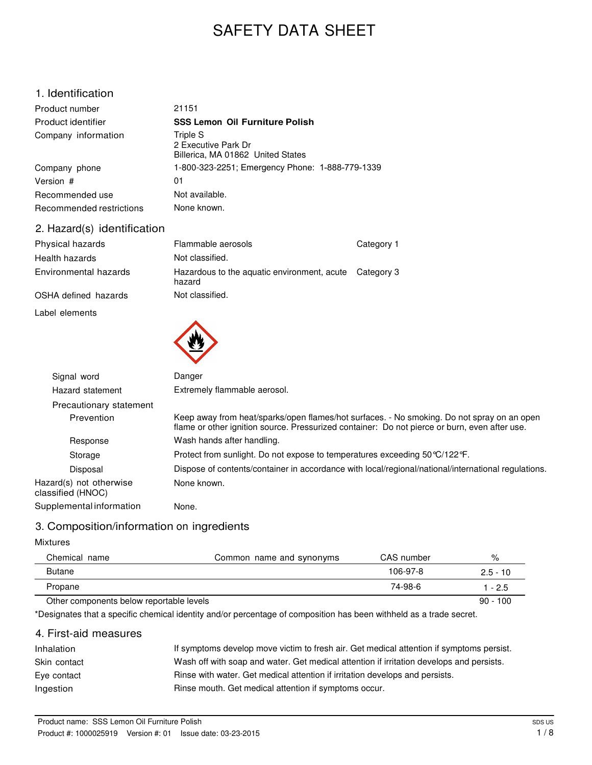# SAFETY DATA SHEET

### 1. Identification

| Product number           | 21151                                                                |
|--------------------------|----------------------------------------------------------------------|
| Product identifier       | <b>SSS Lemon Oil Furniture Polish</b>                                |
| Company information      | Triple S<br>2 Executive Park Dr<br>Billerica, MA 01862 United States |
| Company phone            | 1-800-323-2251; Emergency Phone: 1-888-779-1339                      |
| Version #                | 01                                                                   |
| Recommended use          | Not available.                                                       |
| Recommended restrictions | None known.                                                          |

### 2. Hazard(s) identification

| Physical hazards      | Flammable aerosols                                               | Category 1 |
|-----------------------|------------------------------------------------------------------|------------|
| Health hazards        | Not classified.                                                  |            |
| Environmental hazards | Hazardous to the aquatic environment, acute Category 3<br>hazard |            |
| OSHA defined hazards  | Not classified.                                                  |            |
| Label elements        |                                                                  |            |



| Signal word                                  | Danger                                                                                                                                                                                      |
|----------------------------------------------|---------------------------------------------------------------------------------------------------------------------------------------------------------------------------------------------|
| Hazard statement                             | Extremely flammable aerosol.                                                                                                                                                                |
| Precautionary statement                      |                                                                                                                                                                                             |
| Prevention                                   | Keep away from heat/sparks/open flames/hot surfaces. - No smoking. Do not spray on an open<br>flame or other ignition source. Pressurized container: Do not pierce or burn, even after use. |
| Response                                     | Wash hands after handling.                                                                                                                                                                  |
| Storage                                      | Protect from sunlight. Do not expose to temperatures exceeding $50\degree C/122\degree F$ .                                                                                                 |
| Disposal                                     | Dispose of contents/container in accordance with local/regional/national/international regulations.                                                                                         |
| Hazard(s) not otherwise<br>classified (HNOC) | None known.                                                                                                                                                                                 |
| Supplemental information                     | None.                                                                                                                                                                                       |
|                                              |                                                                                                                                                                                             |

# 3. Composition/information on ingredients

#### Mixtures

| Chemical name                            | Common name and synonyms | CAS number | %          |
|------------------------------------------|--------------------------|------------|------------|
| <b>Butane</b>                            |                          | 106-97-8   | $2.5 - 10$ |
| Propane                                  |                          | 74-98-6    | 1 - 2.5    |
| Other components below reportable levels |                          |            | $90 - 100$ |

\*Designates that a specific chemical identity and/or percentage of composition has been withheld as a trade secret.

# 4. First-aid measures

| Inhalation   | If symptoms develop move victim to fresh air. Get medical attention if symptoms persist. |
|--------------|------------------------------------------------------------------------------------------|
| Skin contact | Wash off with soap and water. Get medical attention if irritation develops and persists. |
| Eve contact  | Rinse with water. Get medical attention if irritation develops and persists.             |
| Ingestion    | Rinse mouth. Get medical attention if symptoms occur.                                    |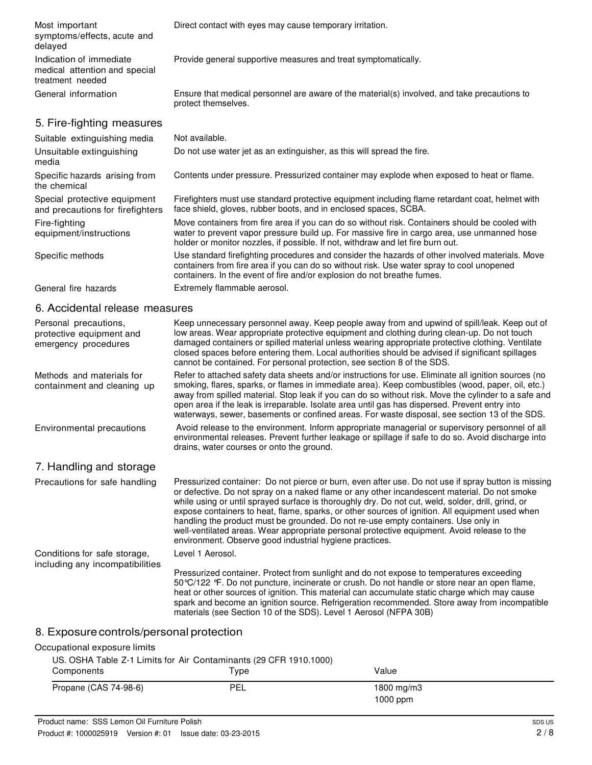Most important symptoms/effects, acute and delayed Indication of immediate medical attention and special treatment needed Direct contact with eyes may cause temporary irritation. Provide general supportive measures and treat symptomatically. General information Ensure that medical personnel are aware of the material(s) involved, and take precautions to protect themselves. 5. Fire-fighting measures Suitable extinguishing media Not available. Unsuitable extinguishing media Specific hazards arising from the chemical Special protective equipment and precautions for firefighters Fire-fighting equipment/instructions Do not use water jet as an extinguisher, as this will spread the fire. Contents under pressure. Pressurized container may explode when exposed to heat or flame. Firefighters must use standard protective equipment including flame retardant coat, helmet with face shield, gloves, rubber boots, and in enclosed spaces, SCBA. Move containers from fire area if you can do so without risk. Containers should be cooled with water to prevent vapor pressure build up. For massive fire in cargo area, use unmanned hose holder or monitor nozzles, if possible. If not, withdraw and let fire burn out. Specific methods Use standard firefighting procedures and consider the hazards of other involved materials. Move containers from fire area if you can do so without risk. Use water spray to cool unopened containers. In the event of fire and/or explosion do not breathe fumes. General fire hazards **Extremely flammable aerosol.** 6. Accidental release measures Personal precautions, protective equipment and emergency procedures Methods and materials for containment and cleaning up Keep unnecessary personnel away. Keep people away from and upwind of spill/leak. Keep out of low areas. Wear appropriate protective equipment and clothing during clean-up. Do not touch damaged containers or spilled material unless wearing appropriate protective clothing. Ventilate closed spaces before entering them. Local authorities should be advised if significant spillages cannot be contained. For personal protection, see section 8 of the SDS. Refer to attached safety data sheets and/or instructions for use. Eliminate all ignition sources (no smoking, flares, sparks, or flames in immediate area). Keep combustibles (wood, paper, oil, etc.) away from spilled material. Stop leak if you can do so without risk. Move the cylinder to a safe and

Environmental precautions Avoid release to the environment. Inform appropriate managerial or supervisory personnel of all

### 7. Handling and storage

Precautions for safe handling Pressurized container: Do not pierce or burn, even after use. Do not use if spray button is missing or defective. Do not spray on a naked flame or any other incandescent material. Do not smoke while using or until sprayed surface is thoroughly dry. Do not cut, weld, solder, drill, grind, or expose containers to heat, flame, sparks, or other sources of ignition. All equipment used when handling the product must be grounded. Do not re-use empty containers. Use only in well-ventilated areas. Wear appropriate personal protective equipment. Avoid release to the environment. Observe good industrial hygiene practices. Conditions for safe storage, including any incompatibilities Level 1 Aerosol.

drains, water courses or onto the ground.

Pressurized container. Protect from sunlight and do not expose to temperatures exceeding 50°C/122 °F. Do not puncture, incinerate or crush. Do not handle or store near an open flame, heat or other sources of ignition. This material can accumulate static charge which may cause spark and become an ignition source. Refrigeration recommended. Store away from incompatible materials (see Section 10 of the SDS). Level 1 Aerosol (NFPA 30B)

open area if the leak is irreparable. Isolate area until gas has dispersed. Prevent entry into waterways, sewer, basements or confined areas. For waste disposal, see section 13 of the SDS.

environmental releases. Prevent further leakage or spillage if safe to do so. Avoid discharge into

### 8. Exposure controls/personal protection

#### Occupational exposure limits

| US. OSHA Table Z-1 Limits for Air Contaminants (29 CFR 1910.1000) |      |                             |
|-------------------------------------------------------------------|------|-----------------------------|
| Components                                                        | Type | Value                       |
| Propane (CAS 74-98-6)                                             | PEL  | $1800$ mg/m $3$<br>1000 ppm |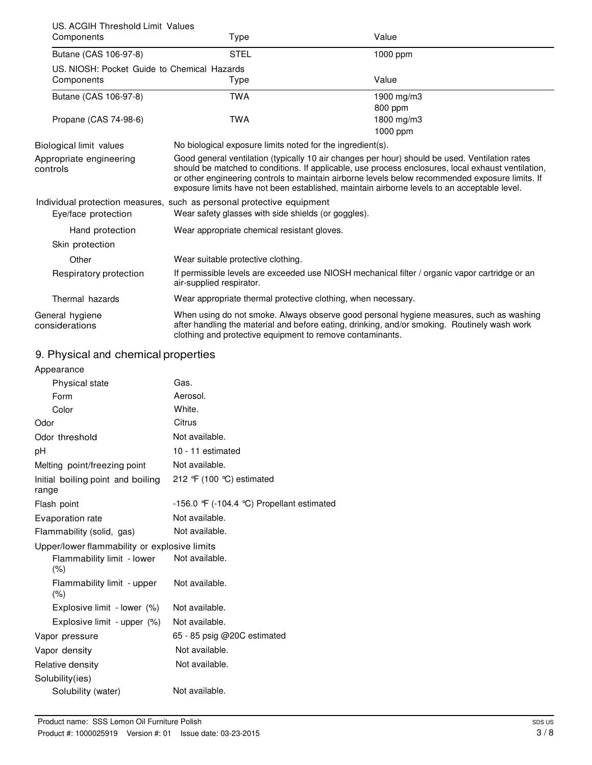| US. ACGIH Threshold Limit Values            |                                                                       |                                                                                                                                                                                                                                                                                                                                                                                                        |
|---------------------------------------------|-----------------------------------------------------------------------|--------------------------------------------------------------------------------------------------------------------------------------------------------------------------------------------------------------------------------------------------------------------------------------------------------------------------------------------------------------------------------------------------------|
| Components                                  | Type                                                                  | Value                                                                                                                                                                                                                                                                                                                                                                                                  |
| Butane (CAS 106-97-8)                       | <b>STEL</b>                                                           | 1000 ppm                                                                                                                                                                                                                                                                                                                                                                                               |
| US, NIOSH: Pocket Guide to Chemical Hazards |                                                                       |                                                                                                                                                                                                                                                                                                                                                                                                        |
| Components                                  | Type                                                                  | Value                                                                                                                                                                                                                                                                                                                                                                                                  |
| Butane (CAS 106-97-8)                       | <b>TWA</b>                                                            | 1900 mg/m3                                                                                                                                                                                                                                                                                                                                                                                             |
|                                             |                                                                       | 800 ppm                                                                                                                                                                                                                                                                                                                                                                                                |
| Propane (CAS 74-98-6)                       | <b>TWA</b>                                                            | 1800 mg/m3                                                                                                                                                                                                                                                                                                                                                                                             |
|                                             |                                                                       | 1000 ppm                                                                                                                                                                                                                                                                                                                                                                                               |
| Biological limit values                     | No biological exposure limits noted for the ingredient(s).            |                                                                                                                                                                                                                                                                                                                                                                                                        |
| Appropriate engineering<br>controls         |                                                                       | Good general ventilation (typically 10 air changes per hour) should be used. Ventilation rates<br>should be matched to conditions. If applicable, use process enclosures, local exhaust ventilation,<br>or other engineering controls to maintain airborne levels below recommended exposure limits. If<br>exposure limits have not been established, maintain airborne levels to an acceptable level. |
|                                             | Individual protection measures, such as personal protective equipment |                                                                                                                                                                                                                                                                                                                                                                                                        |
| Eye/face protection                         | Wear safety glasses with side shields (or goggles).                   |                                                                                                                                                                                                                                                                                                                                                                                                        |
| Hand protection                             | Wear appropriate chemical resistant gloves.                           |                                                                                                                                                                                                                                                                                                                                                                                                        |
| Skin protection                             |                                                                       |                                                                                                                                                                                                                                                                                                                                                                                                        |
| Other                                       | Wear suitable protective clothing.                                    |                                                                                                                                                                                                                                                                                                                                                                                                        |
| Respiratory protection                      | air-supplied respirator.                                              | If permissible levels are exceeded use NIOSH mechanical filter / organic vapor cartridge or an                                                                                                                                                                                                                                                                                                         |
| Thermal hazards                             | Wear appropriate thermal protective clothing, when necessary.         |                                                                                                                                                                                                                                                                                                                                                                                                        |
| General hygiene<br>considerations           | clothing and protective equipment to remove contaminants.             | When using do not smoke. Always observe good personal hygiene measures, such as washing<br>after handling the material and before eating, drinking, and/or smoking. Routinely wash work                                                                                                                                                                                                                |

# 9. Physical and chemical properties

| Appearance                                   |                                            |
|----------------------------------------------|--------------------------------------------|
| Physical state                               | Gas.                                       |
| Form                                         | Aerosol.                                   |
| Color                                        | White.                                     |
| Odor                                         | Citrus                                     |
| Odor threshold                               | Not available.                             |
| pH                                           | 10 - 11 estimated                          |
| Melting point/freezing point                 | Not available.                             |
| Initial boiling point and boiling<br>range   | 212 °F (100 °C) estimated                  |
| Flash point                                  | -156.0 °F (-104.4 °C) Propellant estimated |
| Evaporation rate                             | Not available.                             |
| Flammability (solid, gas)                    | Not available.                             |
| Upper/lower flammability or explosive limits |                                            |
| Flammability limit - lower<br>(% )           | Not available.                             |
| Flammability limit - upper<br>(% )           | Not available.                             |
| Explosive limit - lower (%)                  | Not available.                             |
| Explosive limit - upper (%)                  | Not available.                             |
| Vapor pressure                               | 65 - 85 psig @20C estimated                |
| Vapor density                                | Not available.                             |
| Relative density                             | Not available.                             |
| Solubility(ies)                              |                                            |
| Solubility (water)                           | Not available.                             |
|                                              |                                            |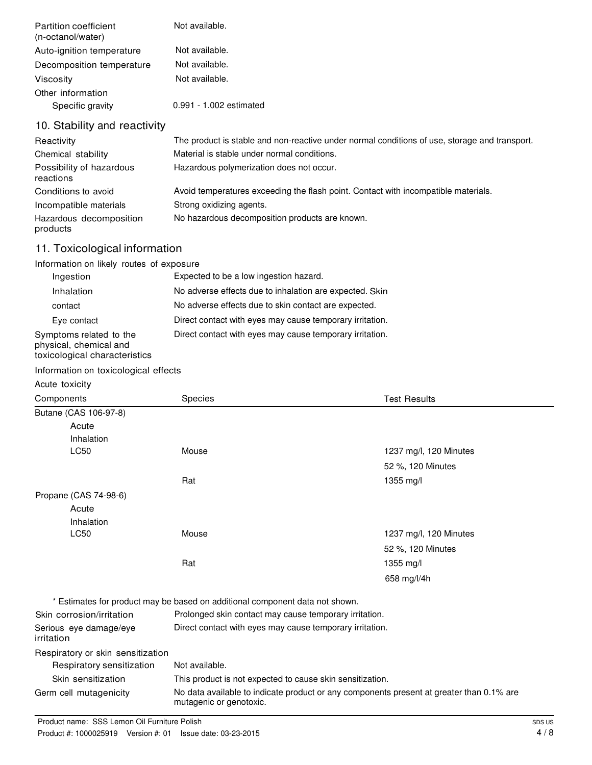| Partition coefficient<br>(n-octanol/water) | Not available.                                                                                |
|--------------------------------------------|-----------------------------------------------------------------------------------------------|
| Auto-ignition temperature                  | Not available.                                                                                |
| Decomposition temperature                  | Not available.                                                                                |
| Viscosity                                  | Not available.                                                                                |
| Other information                          |                                                                                               |
| Specific gravity                           | 0.991 - 1.002 estimated                                                                       |
| 10. Stability and reactivity               |                                                                                               |
| Reactivity                                 | The product is stable and non-reactive under normal conditions of use, storage and transport. |
| Chemical stability                         | Material is stable under normal conditions.                                                   |
| Possibility of hazardous<br>reactions      | Hazardous polymerization does not occur.                                                      |
| Conditions to avoid                        | Avoid temperatures exceeding the flash point. Contact with incompatible materials.            |
| Incompatible materials                     | Strong oxidizing agents.                                                                      |
| Hazardous decomposition<br>products        | No hazardous decomposition products are known.                                                |

# 11. Toxicological information

| Information on likely routes of exposure                                           |                                                          |  |  |
|------------------------------------------------------------------------------------|----------------------------------------------------------|--|--|
| Ingestion                                                                          | Expected to be a low ingestion hazard.                   |  |  |
| Inhalation                                                                         | No adverse effects due to inhalation are expected. Skin  |  |  |
| contact                                                                            | No adverse effects due to skin contact are expected.     |  |  |
| Eye contact                                                                        | Direct contact with eyes may cause temporary irritation. |  |  |
| Symptoms related to the<br>physical, chemical and<br>toxicological characteristics | Direct contact with eyes may cause temporary irritation. |  |  |

## Information on toxicological effects

#### Acute toxicity

| Components                           | <b>Species</b>                                                                                                      | <b>Test Results</b>    |
|--------------------------------------|---------------------------------------------------------------------------------------------------------------------|------------------------|
| Butane (CAS 106-97-8)                |                                                                                                                     |                        |
| Acute                                |                                                                                                                     |                        |
| Inhalation                           |                                                                                                                     |                        |
| <b>LC50</b>                          | Mouse                                                                                                               | 1237 mg/l, 120 Minutes |
|                                      |                                                                                                                     | 52 %, 120 Minutes      |
|                                      | Rat                                                                                                                 | 1355 mg/l              |
| Propane (CAS 74-98-6)                |                                                                                                                     |                        |
| Acute                                |                                                                                                                     |                        |
| Inhalation                           |                                                                                                                     |                        |
| <b>LC50</b>                          | Mouse                                                                                                               | 1237 mg/l, 120 Minutes |
|                                      |                                                                                                                     | 52 %, 120 Minutes      |
|                                      | Rat                                                                                                                 | 1355 mg/l              |
|                                      |                                                                                                                     | 658 mg/l/4h            |
|                                      | * Estimates for product may be based on additional component data not shown.                                        |                        |
| Skin corrosion/irritation            | Prolonged skin contact may cause temporary irritation.                                                              |                        |
| Serious eye damage/eye<br>irritation | Direct contact with eyes may cause temporary irritation.                                                            |                        |
| Respiratory or skin sensitization    |                                                                                                                     |                        |
| Respiratory sensitization            | Not available.                                                                                                      |                        |
| Skin sensitization                   | This product is not expected to cause skin sensitization.                                                           |                        |
| Germ cell mutagenicity               | No data available to indicate product or any components present at greater than 0.1% are<br>mutagenic or genotoxic. |                        |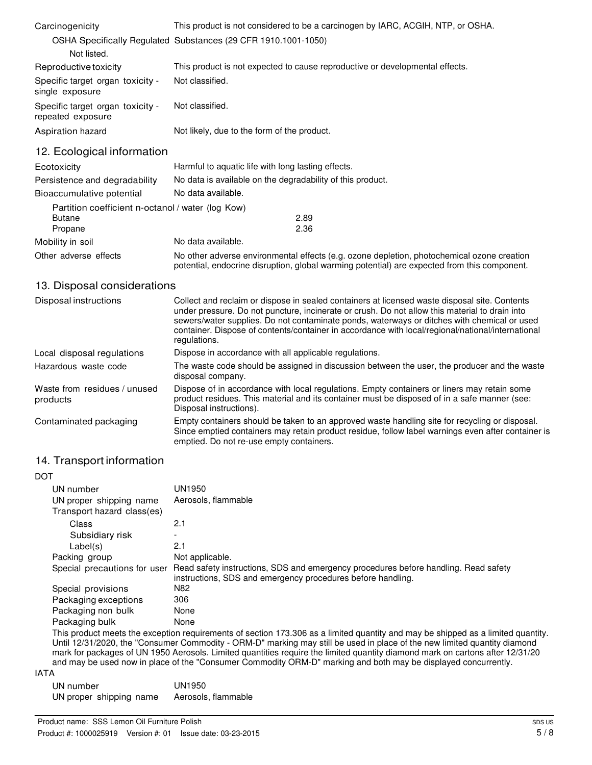| Carcinogenicity                                       | This product is not considered to be a carcinogen by IARC, ACGIH, NTP, or OSHA. |  |
|-------------------------------------------------------|---------------------------------------------------------------------------------|--|
|                                                       | OSHA Specifically Regulated Substances (29 CFR 1910.1001-1050)                  |  |
| Not listed.                                           |                                                                                 |  |
| Reproductive toxicity                                 | This product is not expected to cause reproductive or developmental effects.    |  |
| Specific target organ toxicity -<br>single exposure   | Not classified.                                                                 |  |
| Specific target organ toxicity -<br>repeated exposure | Not classified.                                                                 |  |
| Aspiration hazard                                     | Not likely, due to the form of the product.                                     |  |

12. Ecological information

| Ecotoxicity                                       | Harmful to aquatic life with long lasting effects.                                                                                                                                         |  |  |
|---------------------------------------------------|--------------------------------------------------------------------------------------------------------------------------------------------------------------------------------------------|--|--|
| Persistence and degradability                     | No data is available on the degradability of this product.                                                                                                                                 |  |  |
| Bioaccumulative potential                         | No data available.                                                                                                                                                                         |  |  |
| Partition coefficient n-octanol / water (log Kow) |                                                                                                                                                                                            |  |  |
| <b>Butane</b>                                     | 2.89                                                                                                                                                                                       |  |  |
| Propane                                           | 2.36                                                                                                                                                                                       |  |  |
| Mobility in soil                                  | No data available.                                                                                                                                                                         |  |  |
| Other adverse effects                             | No other adverse environmental effects (e.g. ozone depletion, photochemical ozone creation<br>potential, endocrine disruption, global warming potential) are expected from this component. |  |  |

### 13. Disposal considerations

| Disposal instructions                    | Collect and reclaim or dispose in sealed containers at licensed waste disposal site. Contents<br>under pressure. Do not puncture, incinerate or crush. Do not allow this material to drain into<br>sewers/water supplies. Do not contaminate ponds, waterways or ditches with chemical or used<br>container. Dispose of contents/container in accordance with local/regional/national/international<br>regulations. |
|------------------------------------------|---------------------------------------------------------------------------------------------------------------------------------------------------------------------------------------------------------------------------------------------------------------------------------------------------------------------------------------------------------------------------------------------------------------------|
| Local disposal regulations               | Dispose in accordance with all applicable regulations.                                                                                                                                                                                                                                                                                                                                                              |
| Hazardous waste code                     | The waste code should be assigned in discussion between the user, the producer and the waste<br>disposal company.                                                                                                                                                                                                                                                                                                   |
| Waste from residues / unused<br>products | Dispose of in accordance with local regulations. Empty containers or liners may retain some<br>product residues. This material and its container must be disposed of in a safe manner (see:<br>Disposal instructions).                                                                                                                                                                                              |
| Contaminated packaging                   | Empty containers should be taken to an approved waste handling site for recycling or disposal.<br>Since emptied containers may retain product residue, follow label warnings even after container is<br>emptied. Do not re-use empty containers.                                                                                                                                                                    |

### 14. Transport information

| <b>DOT</b>                   |                                                                                                                                                    |
|------------------------------|----------------------------------------------------------------------------------------------------------------------------------------------------|
| UN number                    | UN1950                                                                                                                                             |
| UN proper shipping name      | Aerosols, flammable                                                                                                                                |
| Transport hazard class(es)   |                                                                                                                                                    |
| Class                        | 2.1                                                                                                                                                |
| Subsidiary risk              |                                                                                                                                                    |
| Label(s)                     | 2.1                                                                                                                                                |
| Packing group                | Not applicable.                                                                                                                                    |
| Special precautions for user | Read safety instructions, SDS and emergency procedures before handling. Read safety<br>instructions, SDS and emergency procedures before handling. |
| Special provisions           | N82                                                                                                                                                |
| Packaging exceptions         | 306                                                                                                                                                |
| Packaging non bulk           | None                                                                                                                                               |
| Packaging bulk               | None                                                                                                                                               |
|                              | This product meets the exception requirements of section 173.306 as a limited quantity and may be shipped as a limited quantity.                   |

Until 12/31/2020, the "Consumer Commodity - ORM-D" marking may still be used in place of the new limited quantity diamond mark for packages of UN 1950 Aerosols. Limited quantities require the limited quantity diamond mark on cartons after 12/31/20 and may be used now in place of the "Consumer Commodity ORM-D" marking and both may be displayed concurrently.

| UN number               | UN1950              |
|-------------------------|---------------------|
| UN proper shipping name | Aerosols, flammable |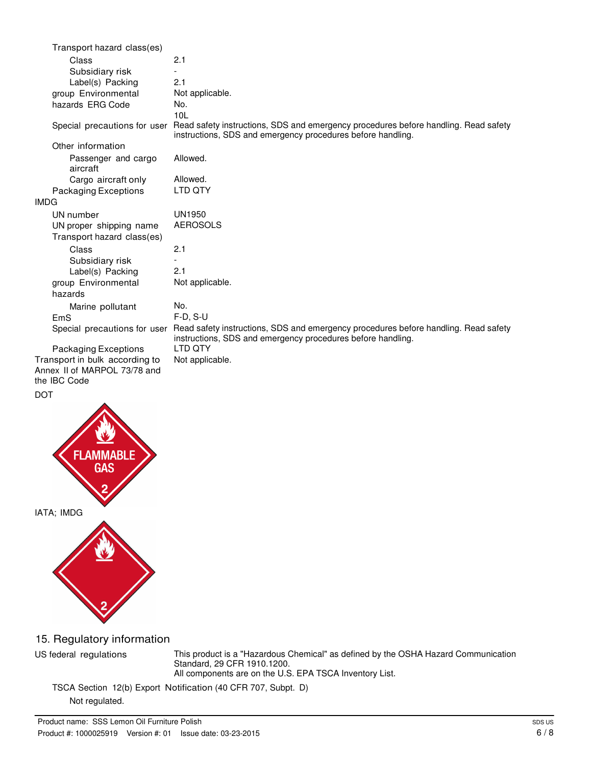| Transport hazard class(es)      |                                                                                                                                                    |
|---------------------------------|----------------------------------------------------------------------------------------------------------------------------------------------------|
| Class                           | 2.1                                                                                                                                                |
| Subsidiary risk                 |                                                                                                                                                    |
| Label(s) Packing                | 2.1                                                                                                                                                |
| group Environmental             | Not applicable.                                                                                                                                    |
| hazards ERG Code                | No.                                                                                                                                                |
|                                 | 101                                                                                                                                                |
| Special precautions for user    | Read safety instructions, SDS and emergency procedures before handling. Read safety<br>instructions, SDS and emergency procedures before handling. |
| Other information               |                                                                                                                                                    |
| Passenger and cargo<br>aircraft | Allowed.                                                                                                                                           |
| Cargo aircraft only             | Allowed.                                                                                                                                           |
| <b>Packaging Exceptions</b>     | LTD QTY                                                                                                                                            |
| <b>IMDG</b>                     |                                                                                                                                                    |
| UN number                       | UN1950                                                                                                                                             |
| UN proper shipping name         | <b>AEROSOLS</b>                                                                                                                                    |
| Transport hazard class(es)      |                                                                                                                                                    |
| Class                           | 2.1                                                                                                                                                |
| Subsidiary risk                 |                                                                                                                                                    |
| Label(s) Packing                | 2.1                                                                                                                                                |
| group Environmental             | Not applicable.                                                                                                                                    |
| hazards                         |                                                                                                                                                    |
| Marine pollutant                | No.                                                                                                                                                |
| EmS                             | $F-D. S-U$                                                                                                                                         |
| Special precautions for user    | Read safety instructions, SDS and emergency procedures before handling. Read safety<br>instructions, SDS and emergency procedures before handling. |
| Packaging Exceptions            | LTD QTY                                                                                                                                            |
| Transport in bulk according to  | Not applicable.                                                                                                                                    |
| Annex II of MARPOL 73/78 and    |                                                                                                                                                    |

# the IBC Code

DOT



IATA; IMDG



# 15. Regulatory information

US federal regulations This product is a "Hazardous Chemical" as defined by the OSHA Hazard Communication Standard, 29 CFR 1910.1200. All components are on the U.S. EPA TSCA Inventory List.

TSCA Section 12(b) Export Notification (40 CFR 707, Subpt. D)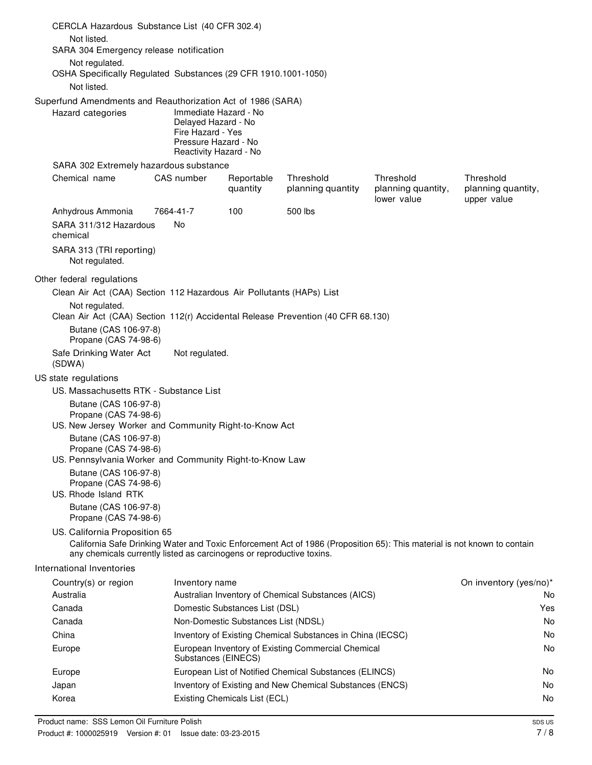| CERCLA Hazardous Substance List (40 CFR 302.4)                                                     |                                                                                                                     |                                     |                                                                                                                          |                                                |                                                |
|----------------------------------------------------------------------------------------------------|---------------------------------------------------------------------------------------------------------------------|-------------------------------------|--------------------------------------------------------------------------------------------------------------------------|------------------------------------------------|------------------------------------------------|
| Not listed.                                                                                        |                                                                                                                     |                                     |                                                                                                                          |                                                |                                                |
| SARA 304 Emergency release notification                                                            |                                                                                                                     |                                     |                                                                                                                          |                                                |                                                |
| Not regulated.<br>OSHA Specifically Regulated Substances (29 CFR 1910.1001-1050)<br>Not listed.    |                                                                                                                     |                                     |                                                                                                                          |                                                |                                                |
| Superfund Amendments and Reauthorization Act of 1986 (SARA)                                        |                                                                                                                     |                                     |                                                                                                                          |                                                |                                                |
| Hazard categories                                                                                  | Immediate Hazard - No<br>Delayed Hazard - No<br>Fire Hazard - Yes<br>Pressure Hazard - No<br>Reactivity Hazard - No |                                     |                                                                                                                          |                                                |                                                |
| SARA 302 Extremely hazardous substance                                                             |                                                                                                                     |                                     |                                                                                                                          |                                                |                                                |
| Chemical name                                                                                      | CAS number                                                                                                          | Reportable<br>quantity              | Threshold<br>planning quantity                                                                                           | Threshold<br>planning quantity,<br>lower value | Threshold<br>planning quantity,<br>upper value |
| Anhydrous Ammonia                                                                                  | 7664-41-7                                                                                                           | 100                                 | 500 lbs                                                                                                                  |                                                |                                                |
| SARA 311/312 Hazardous<br>chemical                                                                 | <b>No</b>                                                                                                           |                                     |                                                                                                                          |                                                |                                                |
| SARA 313 (TRI reporting)<br>Not regulated.                                                         |                                                                                                                     |                                     |                                                                                                                          |                                                |                                                |
| Other federal regulations                                                                          |                                                                                                                     |                                     |                                                                                                                          |                                                |                                                |
| Clean Air Act (CAA) Section 112 Hazardous Air Pollutants (HAPs) List                               |                                                                                                                     |                                     |                                                                                                                          |                                                |                                                |
| Not regulated.<br>Clean Air Act (CAA) Section 112(r) Accidental Release Prevention (40 CFR 68.130) |                                                                                                                     |                                     |                                                                                                                          |                                                |                                                |
| Butane (CAS 106-97-8)<br>Propane (CAS 74-98-6)                                                     |                                                                                                                     |                                     |                                                                                                                          |                                                |                                                |
| Safe Drinking Water Act<br>(SDWA)                                                                  | Not regulated.                                                                                                      |                                     |                                                                                                                          |                                                |                                                |
| US state regulations                                                                               |                                                                                                                     |                                     |                                                                                                                          |                                                |                                                |
| US. Massachusetts RTK - Substance List                                                             |                                                                                                                     |                                     |                                                                                                                          |                                                |                                                |
| Butane (CAS 106-97-8)<br>Propane (CAS 74-98-6)                                                     |                                                                                                                     |                                     |                                                                                                                          |                                                |                                                |
| US. New Jersey Worker and Community Right-to-Know Act<br>Butane (CAS 106-97-8)                     |                                                                                                                     |                                     |                                                                                                                          |                                                |                                                |
| Propane (CAS 74-98-6)<br>US. Pennsylvania Worker and Community Right-to-Know Law                   |                                                                                                                     |                                     |                                                                                                                          |                                                |                                                |
| Butane (CAS 106-97-8)<br>Propane (CAS 74-98-6)<br>US. Rhode Island RTK                             |                                                                                                                     |                                     |                                                                                                                          |                                                |                                                |
| Butane (CAS 106-97-8)<br>Propane (CAS 74-98-6)                                                     |                                                                                                                     |                                     |                                                                                                                          |                                                |                                                |
| US. California Proposition 65                                                                      |                                                                                                                     |                                     | California Safe Drinking Water and Toxic Enforcement Act of 1986 (Proposition 65): This material is not known to contain |                                                |                                                |
| any chemicals currently listed as carcinogens or reproductive toxins.                              |                                                                                                                     |                                     |                                                                                                                          |                                                |                                                |
| International Inventories                                                                          |                                                                                                                     |                                     |                                                                                                                          |                                                |                                                |
| Country(s) or region<br>Australia                                                                  | Inventory name                                                                                                      |                                     | Australian Inventory of Chemical Substances (AICS)                                                                       |                                                | On inventory (yes/no)*<br>No.                  |
| Canada                                                                                             |                                                                                                                     | Domestic Substances List (DSL)      |                                                                                                                          |                                                | Yes                                            |
| Canada                                                                                             |                                                                                                                     | Non-Domestic Substances List (NDSL) |                                                                                                                          |                                                | No.                                            |
| China                                                                                              |                                                                                                                     |                                     | Inventory of Existing Chemical Substances in China (IECSC)                                                               |                                                | No                                             |
| Europe                                                                                             | Substances (EINECS)                                                                                                 |                                     | European Inventory of Existing Commercial Chemical                                                                       |                                                | No.                                            |
| Europe                                                                                             |                                                                                                                     |                                     | European List of Notified Chemical Substances (ELINCS)                                                                   |                                                | No.                                            |
| Japan                                                                                              |                                                                                                                     |                                     | Inventory of Existing and New Chemical Substances (ENCS)                                                                 |                                                | No.                                            |
| Korea                                                                                              |                                                                                                                     | Existing Chemicals List (ECL)       |                                                                                                                          |                                                | No                                             |